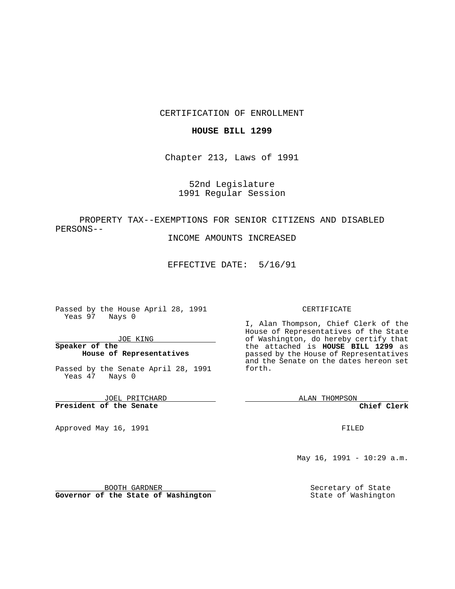### CERTIFICATION OF ENROLLMENT

### **HOUSE BILL 1299**

Chapter 213, Laws of 1991

## 52nd Legislature 1991 Regular Session

# PROPERTY TAX--EXEMPTIONS FOR SENIOR CITIZENS AND DISABLED PERSONS--

INCOME AMOUNTS INCREASED

EFFECTIVE DATE: 5/16/91

Passed by the House April 28, 1991 Yeas 97 Nays 0

JOE KING

### **Speaker of the House of Representatives**

Passed by the Senate April 28, 1991 Yeas 47 Nays 0

JOEL PRITCHARD **President of the Senate**

Approved May 16, 1991

#### CERTIFICATE

I, Alan Thompson, Chief Clerk of the House of Representatives of the State of Washington, do hereby certify that the attached is **HOUSE BILL 1299** as passed by the House of Representatives and the Senate on the dates hereon set forth.

ALAN THOMPSON

**Chief Clerk**

FILED

May 16, 1991 - 10:29 a.m.

Secretary of State State of Washington

BOOTH GARDNER **Governor of the State of Washington**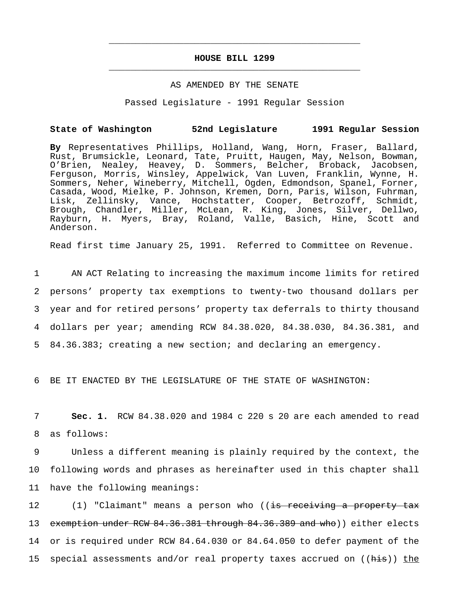# **HOUSE BILL 1299** \_\_\_\_\_\_\_\_\_\_\_\_\_\_\_\_\_\_\_\_\_\_\_\_\_\_\_\_\_\_\_\_\_\_\_\_\_\_\_\_\_\_\_\_\_\_\_

\_\_\_\_\_\_\_\_\_\_\_\_\_\_\_\_\_\_\_\_\_\_\_\_\_\_\_\_\_\_\_\_\_\_\_\_\_\_\_\_\_\_\_\_\_\_\_

#### AS AMENDED BY THE SENATE

Passed Legislature - 1991 Regular Session

#### **State of Washington 52nd Legislature 1991 Regular Session**

**By** Representatives Phillips, Holland, Wang, Horn, Fraser, Ballard, Rust, Brumsickle, Leonard, Tate, Pruitt, Haugen, May, Nelson, Bowman, O'Brien, Nealey, Heavey, D. Sommers, Belcher, Broback, Jacobsen, Ferguson, Morris, Winsley, Appelwick, Van Luven, Franklin, Wynne, H. Sommers, Neher, Wineberry, Mitchell, Ogden, Edmondson, Spanel, Forner, Casada, Wood, Mielke, P. Johnson, Kremen, Dorn, Paris, Wilson, Fuhrman, Lisk, Zellinsky, Vance, Hochstatter, Cooper, Betrozoff, Schmidt, Brough, Chandler, Miller, McLean, R. King, Jones, Silver, Dellwo, Rayburn, H. Myers, Bray, Roland, Valle, Basich, Hine, Scott and Anderson.

Read first time January 25, 1991. Referred to Committee on Revenue.

 AN ACT Relating to increasing the maximum income limits for retired persons' property tax exemptions to twenty-two thousand dollars per year and for retired persons' property tax deferrals to thirty thousand dollars per year; amending RCW 84.38.020, 84.38.030, 84.36.381, and 84.36.383; creating a new section; and declaring an emergency.

6 BE IT ENACTED BY THE LEGISLATURE OF THE STATE OF WASHINGTON:

7 **Sec. 1.** RCW 84.38.020 and 1984 c 220 s 20 are each amended to read 8 as follows:

9 Unless a different meaning is plainly required by the context, the 10 following words and phrases as hereinafter used in this chapter shall 11 have the following meanings:

12 (1) "Claimant" means a person who ((is receiving a property tax 13 exemption under RCW 84.36.381 through 84.36.389 and who)) either elects 14 or is required under RCW 84.64.030 or 84.64.050 to defer payment of the 15 special assessments and/or real property taxes accrued on ((his)) the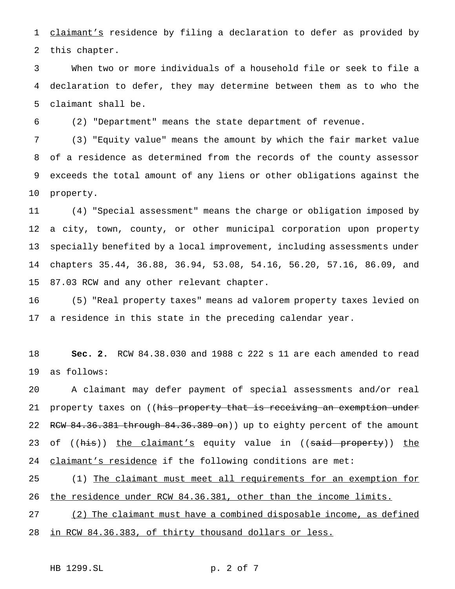1 claimant's residence by filing a declaration to defer as provided by this chapter.

 When two or more individuals of a household file or seek to file a declaration to defer, they may determine between them as to who the claimant shall be.

(2) "Department" means the state department of revenue.

 (3) "Equity value" means the amount by which the fair market value of a residence as determined from the records of the county assessor exceeds the total amount of any liens or other obligations against the property.

 (4) "Special assessment" means the charge or obligation imposed by a city, town, county, or other municipal corporation upon property specially benefited by a local improvement, including assessments under chapters 35.44, 36.88, 36.94, 53.08, 54.16, 56.20, 57.16, 86.09, and 87.03 RCW and any other relevant chapter.

 (5) "Real property taxes" means ad valorem property taxes levied on a residence in this state in the preceding calendar year.

 **Sec. 2.** RCW 84.38.030 and 1988 c 222 s 11 are each amended to read as follows:

 A claimant may defer payment of special assessments and/or real 21 property taxes on ((his property that is receiving an exemption under 22 RCW 84.36.381 through 84.36.389 on)) up to eighty percent of the amount 23 of ((his)) the claimant's equity value in ((said property)) the 24 claimant's residence if the following conditions are met:

25 (1) The claimant must meet all requirements for an exemption for the residence under RCW 84.36.381, other than the income limits.

 (2) The claimant must have a combined disposable income, as defined in RCW 84.36.383, of thirty thousand dollars or less.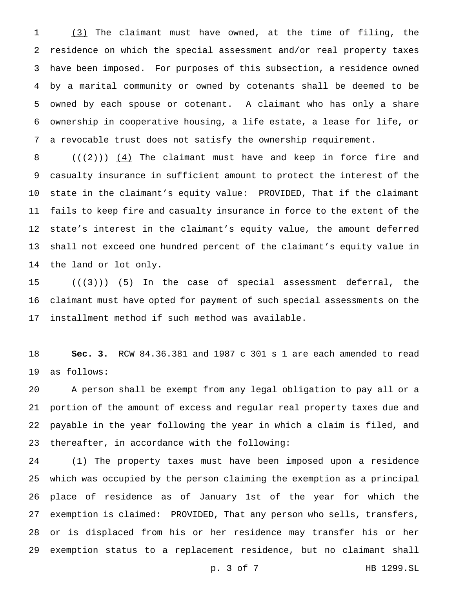(3) The claimant must have owned, at the time of filing, the residence on which the special assessment and/or real property taxes have been imposed. For purposes of this subsection, a residence owned by a marital community or owned by cotenants shall be deemed to be owned by each spouse or cotenant. A claimant who has only a share ownership in cooperative housing, a life estate, a lease for life, or a revocable trust does not satisfy the ownership requirement.

 $((+2))$   $(4)$  The claimant must have and keep in force fire and casualty insurance in sufficient amount to protect the interest of the state in the claimant's equity value: PROVIDED, That if the claimant fails to keep fire and casualty insurance in force to the extent of the state's interest in the claimant's equity value, the amount deferred shall not exceed one hundred percent of the claimant's equity value in the land or lot only.

15  $((+3))$   $(5)$  In the case of special assessment deferral, the claimant must have opted for payment of such special assessments on the installment method if such method was available.

 **Sec. 3.** RCW 84.36.381 and 1987 c 301 s 1 are each amended to read as follows:

 A person shall be exempt from any legal obligation to pay all or a portion of the amount of excess and regular real property taxes due and payable in the year following the year in which a claim is filed, and thereafter, in accordance with the following:

 (1) The property taxes must have been imposed upon a residence which was occupied by the person claiming the exemption as a principal place of residence as of January 1st of the year for which the exemption is claimed: PROVIDED, That any person who sells, transfers, or is displaced from his or her residence may transfer his or her exemption status to a replacement residence, but no claimant shall

p. 3 of 7 HB 1299.SL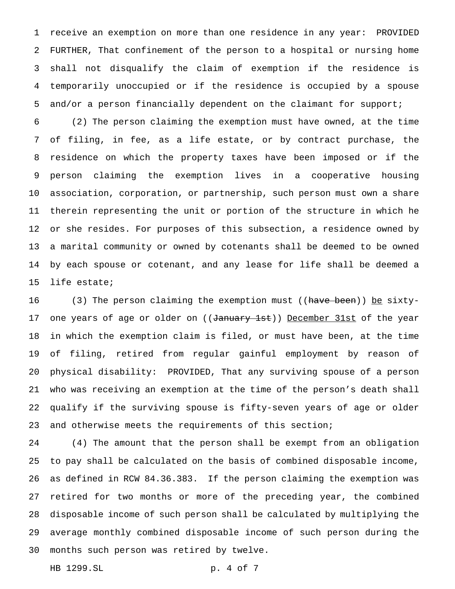receive an exemption on more than one residence in any year: PROVIDED FURTHER, That confinement of the person to a hospital or nursing home shall not disqualify the claim of exemption if the residence is temporarily unoccupied or if the residence is occupied by a spouse and/or a person financially dependent on the claimant for support;

 (2) The person claiming the exemption must have owned, at the time of filing, in fee, as a life estate, or by contract purchase, the residence on which the property taxes have been imposed or if the person claiming the exemption lives in a cooperative housing association, corporation, or partnership, such person must own a share therein representing the unit or portion of the structure in which he or she resides. For purposes of this subsection, a residence owned by a marital community or owned by cotenants shall be deemed to be owned by each spouse or cotenant, and any lease for life shall be deemed a life estate;

16 (3) The person claiming the exemption must ((have been)) be sixty-17 one years of age or older on ((January 1st)) December 31st of the year in which the exemption claim is filed, or must have been, at the time of filing, retired from regular gainful employment by reason of physical disability: PROVIDED, That any surviving spouse of a person who was receiving an exemption at the time of the person's death shall qualify if the surviving spouse is fifty-seven years of age or older 23 and otherwise meets the requirements of this section;

 (4) The amount that the person shall be exempt from an obligation to pay shall be calculated on the basis of combined disposable income, as defined in RCW 84.36.383. If the person claiming the exemption was retired for two months or more of the preceding year, the combined disposable income of such person shall be calculated by multiplying the average monthly combined disposable income of such person during the months such person was retired by twelve.

HB 1299.SL p. 4 of 7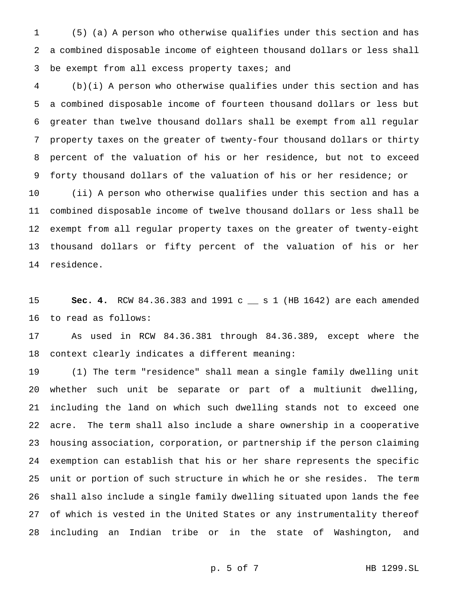(5) (a) A person who otherwise qualifies under this section and has a combined disposable income of eighteen thousand dollars or less shall 3 be exempt from all excess property taxes; and

 (b)(i) A person who otherwise qualifies under this section and has a combined disposable income of fourteen thousand dollars or less but greater than twelve thousand dollars shall be exempt from all regular property taxes on the greater of twenty-four thousand dollars or thirty percent of the valuation of his or her residence, but not to exceed forty thousand dollars of the valuation of his or her residence; or (ii) A person who otherwise qualifies under this section and has a combined disposable income of twelve thousand dollars or less shall be exempt from all regular property taxes on the greater of twenty-eight thousand dollars or fifty percent of the valuation of his or her residence.

 **Sec. 4.** RCW 84.36.383 and 1991 c \_\_ s 1 (HB 1642) are each amended to read as follows:

 As used in RCW 84.36.381 through 84.36.389, except where the context clearly indicates a different meaning:

 (1) The term "residence" shall mean a single family dwelling unit whether such unit be separate or part of a multiunit dwelling, including the land on which such dwelling stands not to exceed one acre. The term shall also include a share ownership in a cooperative housing association, corporation, or partnership if the person claiming exemption can establish that his or her share represents the specific unit or portion of such structure in which he or she resides. The term shall also include a single family dwelling situated upon lands the fee of which is vested in the United States or any instrumentality thereof including an Indian tribe or in the state of Washington, and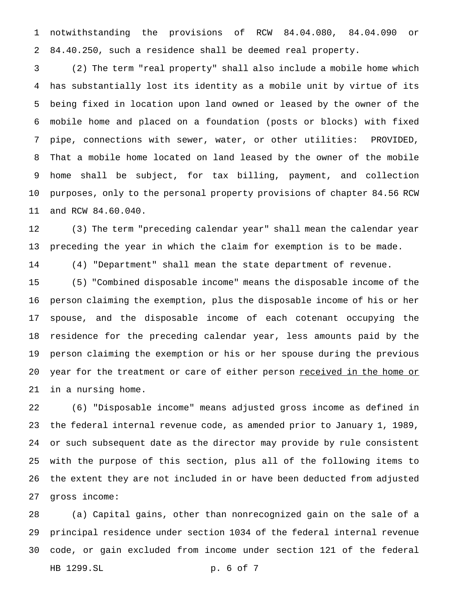notwithstanding the provisions of RCW 84.04.080, 84.04.090 or 84.40.250, such a residence shall be deemed real property.

 (2) The term "real property" shall also include a mobile home which has substantially lost its identity as a mobile unit by virtue of its being fixed in location upon land owned or leased by the owner of the mobile home and placed on a foundation (posts or blocks) with fixed pipe, connections with sewer, water, or other utilities: PROVIDED, That a mobile home located on land leased by the owner of the mobile home shall be subject, for tax billing, payment, and collection purposes, only to the personal property provisions of chapter 84.56 RCW and RCW 84.60.040.

 (3) The term "preceding calendar year" shall mean the calendar year preceding the year in which the claim for exemption is to be made.

(4) "Department" shall mean the state department of revenue.

 (5) "Combined disposable income" means the disposable income of the person claiming the exemption, plus the disposable income of his or her spouse, and the disposable income of each cotenant occupying the residence for the preceding calendar year, less amounts paid by the person claiming the exemption or his or her spouse during the previous 20 year for the treatment or care of either person received in the home or in a nursing home.

 (6) "Disposable income" means adjusted gross income as defined in the federal internal revenue code, as amended prior to January 1, 1989, or such subsequent date as the director may provide by rule consistent with the purpose of this section, plus all of the following items to the extent they are not included in or have been deducted from adjusted gross income:

 (a) Capital gains, other than nonrecognized gain on the sale of a principal residence under section 1034 of the federal internal revenue code, or gain excluded from income under section 121 of the federal HB 1299.SL p. 6 of 7